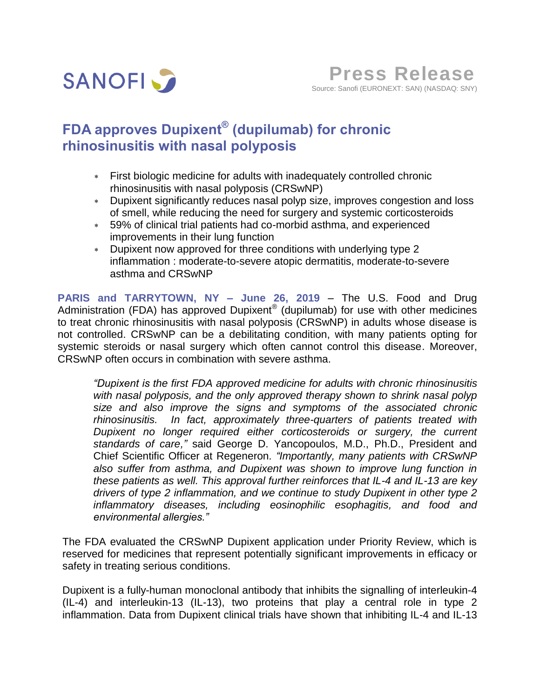

# **FDA approves Dupixent® (dupilumab) for chronic rhinosinusitis with nasal polyposis**

- First biologic medicine for adults with inadequately controlled chronic rhinosinusitis with nasal polyposis (CRSwNP)
- Dupixent significantly reduces nasal polyp size, improves congestion and loss of smell, while reducing the need for surgery and systemic corticosteroids
- 59% of clinical trial patients had co-morbid asthma, and experienced improvements in their lung function
- Dupixent now approved for three conditions with underlying type 2 inflammation : moderate-to-severe atopic dermatitis, moderate-to-severe asthma and CRSwNP

**PARIS and TARRYTOWN, NY – June 26, 2019** – The U.S. Food and Drug Administration (FDA) has approved Dupixent® (dupilumab) for use with other medicines to treat chronic rhinosinusitis with nasal polyposis (CRSwNP) in adults whose disease is not controlled. CRSwNP can be a debilitating condition, with many patients opting for systemic steroids or nasal surgery which often cannot control this disease. Moreover, CRSwNP often occurs in combination with severe asthma.

*"Dupixent is the first FDA approved medicine for adults with chronic rhinosinusitis with nasal polyposis, and the only approved therapy shown to shrink nasal polyp size and also improve the signs and symptoms of the associated chronic rhinosinusitis. In fact, approximately three-quarters of patients treated with Dupixent no longer required either corticosteroids or surgery, the current standards of care,"* said George D. Yancopoulos, M.D., Ph.D., President and Chief Scientific Officer at Regeneron*. "Importantly, many patients with CRSwNP also suffer from asthma, and Dupixent was shown to improve lung function in these patients as well. This approval further reinforces that IL-4 and IL-13 are key drivers of type 2 inflammation, and we continue to study Dupixent in other type 2 inflammatory diseases, including eosinophilic esophagitis, and food and environmental allergies."*

The FDA evaluated the CRSwNP Dupixent application under Priority Review, which is reserved for medicines that represent potentially significant improvements in efficacy or safety in treating serious conditions.

Dupixent is a fully-human monoclonal antibody that inhibits the signalling of interleukin-4 (IL-4) and interleukin-13 (IL-13), two proteins that play a central role in type 2 inflammation. Data from Dupixent clinical trials have shown that inhibiting IL-4 and IL-13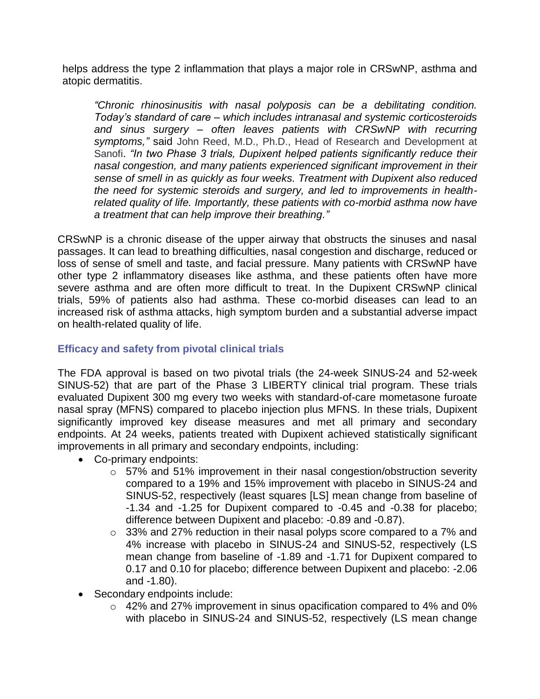helps address the type 2 inflammation that plays a major role in CRSwNP, asthma and atopic dermatitis.

*"Chronic rhinosinusitis with nasal polyposis can be a debilitating condition. Today's standard of care – which includes intranasal and systemic corticosteroids and sinus surgery – often leaves patients with CRSwNP with recurring symptoms,"* said John Reed, M.D., Ph.D., Head of Research and Development at Sanofi. *"In two Phase 3 trials, Dupixent helped patients significantly reduce their nasal congestion, and many patients experienced significant improvement in their sense of smell in as quickly as four weeks. Treatment with Dupixent also reduced the need for systemic steroids and surgery, and led to improvements in healthrelated quality of life. Importantly, these patients with co-morbid asthma now have a treatment that can help improve their breathing."*

CRSwNP is a chronic disease of the upper airway that obstructs the sinuses and nasal passages. It can lead to breathing difficulties, nasal congestion and discharge, reduced or loss of sense of smell and taste, and facial pressure. Many patients with CRSwNP have other type 2 inflammatory diseases like asthma, and these patients often have more severe asthma and are often more difficult to treat. In the Dupixent CRSwNP clinical trials, 59% of patients also had asthma. These co-morbid diseases can lead to an increased risk of asthma attacks, high symptom burden and a substantial adverse impact on health-related quality of life.

## **Efficacy and safety from pivotal clinical trials**

The FDA approval is based on two pivotal trials (the 24-week SINUS-24 and 52-week SINUS-52) that are part of the Phase 3 LIBERTY clinical trial program. These trials evaluated Dupixent 300 mg every two weeks with standard-of-care mometasone furoate nasal spray (MFNS) compared to placebo injection plus MFNS. In these trials, Dupixent significantly improved key disease measures and met all primary and secondary endpoints. At 24 weeks, patients treated with Dupixent achieved statistically significant improvements in all primary and secondary endpoints, including:

- Co-primary endpoints:
	- o 57% and 51% improvement in their nasal congestion/obstruction severity compared to a 19% and 15% improvement with placebo in SINUS-24 and SINUS-52, respectively (least squares [LS] mean change from baseline of -1.34 and -1.25 for Dupixent compared to -0.45 and -0.38 for placebo; difference between Dupixent and placebo: -0.89 and -0.87).
	- o 33% and 27% reduction in their nasal polyps score compared to a 7% and 4% increase with placebo in SINUS-24 and SINUS-52, respectively (LS mean change from baseline of -1.89 and -1.71 for Dupixent compared to 0.17 and 0.10 for placebo; difference between Dupixent and placebo: -2.06 and -1.80).
- Secondary endpoints include:
	- o 42% and 27% improvement in sinus opacification compared to 4% and 0% with placebo in SINUS-24 and SINUS-52, respectively (LS mean change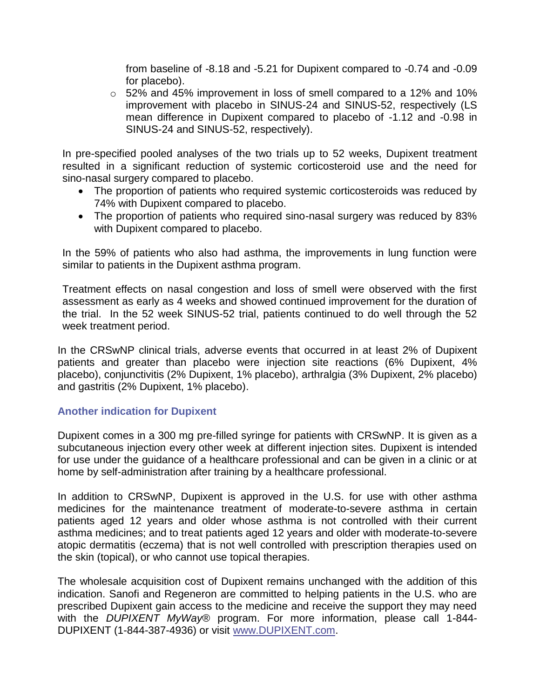from baseline of -8.18 and -5.21 for Dupixent compared to -0.74 and -0.09 for placebo).

o 52% and 45% improvement in loss of smell compared to a 12% and 10% improvement with placebo in SINUS-24 and SINUS-52, respectively (LS mean difference in Dupixent compared to placebo of -1.12 and -0.98 in SINUS-24 and SINUS-52, respectively).

In pre-specified pooled analyses of the two trials up to 52 weeks, Dupixent treatment resulted in a significant reduction of systemic corticosteroid use and the need for sino-nasal surgery compared to placebo.

- The proportion of patients who required systemic corticosteroids was reduced by 74% with Dupixent compared to placebo.
- The proportion of patients who required sino-nasal surgery was reduced by 83% with Dupixent compared to placebo.

In the 59% of patients who also had asthma, the improvements in lung function were similar to patients in the Dupixent asthma program.

Treatment effects on nasal congestion and loss of smell were observed with the first assessment as early as 4 weeks and showed continued improvement for the duration of the trial. In the 52 week SINUS-52 trial, patients continued to do well through the 52 week treatment period.

In the CRSwNP clinical trials, adverse events that occurred in at least 2% of Dupixent patients and greater than placebo were injection site reactions (6% Dupixent, 4% placebo), conjunctivitis (2% Dupixent, 1% placebo), arthralgia (3% Dupixent, 2% placebo) and gastritis (2% Dupixent, 1% placebo).

# **Another indication for Dupixent**

Dupixent comes in a 300 mg pre-filled syringe for patients with CRSwNP. It is given as a subcutaneous injection every other week at different injection sites. Dupixent is intended for use under the guidance of a healthcare professional and can be given in a clinic or at home by self-administration after training by a healthcare professional.

In addition to CRSwNP, Dupixent is approved in the U.S. for use with other asthma medicines for the maintenance treatment of moderate-to-severe asthma in certain patients aged 12 years and older whose asthma is not controlled with their current asthma medicines; and to treat patients aged 12 years and older with moderate-to-severe atopic dermatitis (eczema) that is not well controlled with prescription therapies used on the skin (topical), or who cannot use topical therapies.

The wholesale acquisition cost of Dupixent remains unchanged with the addition of this indication. Sanofi and Regeneron are committed to helping patients in the U.S. who are prescribed Dupixent gain access to the medicine and receive the support they may need with the *DUPIXENT MyWay*® program. For more information, please call 1-844- DUPIXENT (1-844-387-4936) or visit [www.DUPIXENT.com.](http://www.dupixent.com/)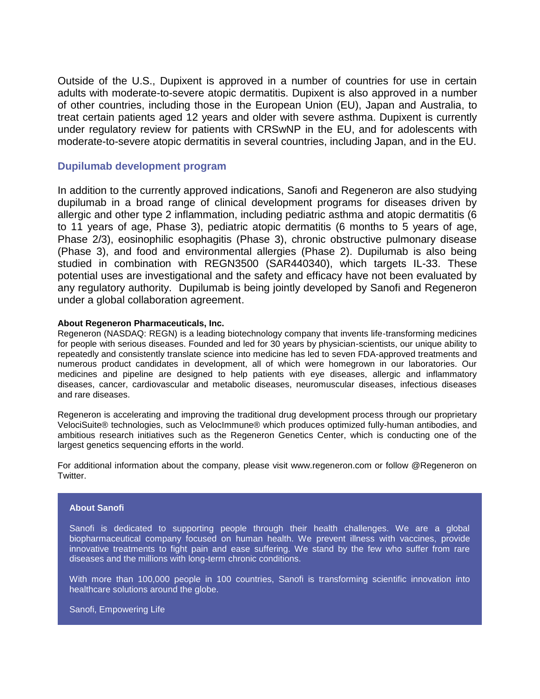Outside of the U.S., Dupixent is approved in a number of countries for use in certain adults with moderate-to-severe atopic dermatitis. Dupixent is also approved in a number of other countries, including those in the European Union (EU), Japan and Australia, to treat certain patients aged 12 years and older with severe asthma. Dupixent is currently under regulatory review for patients with CRSwNP in the EU, and for adolescents with moderate-to-severe atopic dermatitis in several countries, including Japan, and in the EU.

## **Dupilumab development program**

In addition to the currently approved indications, Sanofi and Regeneron are also studying dupilumab in a broad range of clinical development programs for diseases driven by allergic and other type 2 inflammation, including pediatric asthma and atopic dermatitis (6 to 11 years of age, Phase 3), pediatric atopic dermatitis (6 months to 5 years of age, Phase 2/3), eosinophilic esophagitis (Phase 3), chronic obstructive pulmonary disease (Phase 3), and food and environmental allergies (Phase 2). Dupilumab is also being studied in combination with REGN3500 (SAR440340), which targets IL-33. These potential uses are investigational and the safety and efficacy have not been evaluated by any regulatory authority. Dupilumab is being jointly developed by Sanofi and Regeneron under a global collaboration agreement.

### **About Regeneron Pharmaceuticals, Inc.**

Regeneron (NASDAQ: REGN) is a leading biotechnology company that invents life-transforming medicines for people with serious diseases. Founded and led for 30 years by physician-scientists, our unique ability to repeatedly and consistently translate science into medicine has led to seven FDA-approved treatments and numerous product candidates in development, all of which were homegrown in our laboratories. Our medicines and pipeline are designed to help patients with eye diseases, allergic and inflammatory diseases, cancer, cardiovascular and metabolic diseases, neuromuscular diseases, infectious diseases and rare diseases.

Regeneron is accelerating and improving the traditional drug development process through our proprietary VelociSuite® technologies, such as VelocImmune® which produces optimized fully-human antibodies, and ambitious research initiatives such as the Regeneron Genetics Center, which is conducting one of the largest genetics sequencing efforts in the world.

For additional information about the company, please visit www.regeneron.com or follow @Regeneron on Twitter.

### **About Sanofi**

Sanofi is dedicated to supporting people through their health challenges. We are a global biopharmaceutical company focused on human health. We prevent illness with vaccines, provide innovative treatments to fight pain and ease suffering. We stand by the few who suffer from rare diseases and the millions with long-term chronic conditions.

With more than 100,000 people in 100 countries, Sanofi is transforming scientific innovation into healthcare solutions around the globe.

Sanofi, Empowering Life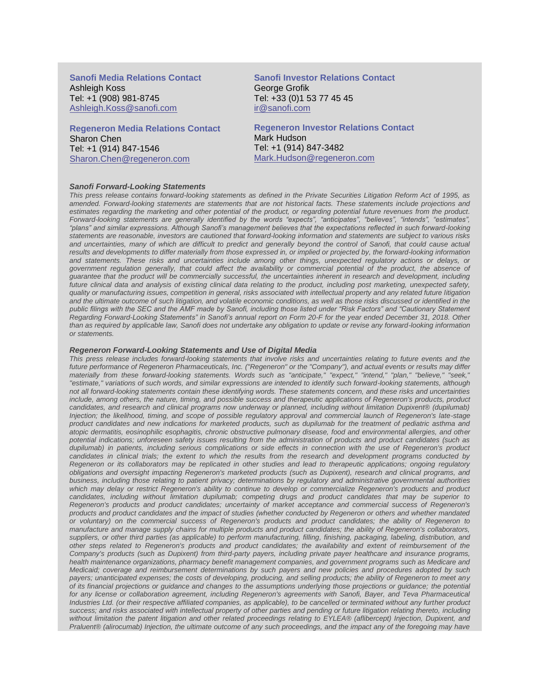**Sanofi Media Relations Contact** Ashleigh Koss Tel: +1 (908) 981-8745 [Ashleigh.Koss@sanofi.com](mailto:Ashleigh.Koss@sanofi.com)

**Regeneron Media Relations Contact** Sharon Chen Tel: +1 (914) 847-1546 Sharon.Chen@regeneron.com

**Sanofi Investor Relations Contact** George Grofik Tel: +33 (0)1 53 77 45 45 [ir@sanofi.com](mailto:ir@sanofi.com)

**Regeneron Investor Relations Contact** Mark Hudson Tel: +1 (914) 847-3482 Mark.Hudson@regeneron.com

#### *Sanofi Forward-Looking Statements*

*This press release contains forward-looking statements as defined in the Private Securities Litigation Reform Act of 1995, as amended. Forward-looking statements are statements that are not historical facts. These statements include projections and estimates regarding the marketing and other potential of the product, or regarding potential future revenues from the product. Forward-looking statements are generally identified by the words "expects", "anticipates", "believes", "intends", "estimates", "plans" and similar expressions. Although Sanofi's management believes that the expectations reflected in such forward-looking statements are reasonable, investors are cautioned that forward-looking information and statements are subject to various risks and uncertainties, many of which are difficult to predict and generally beyond the control of Sanofi, that could cause actual results and developments to differ materially from those expressed in, or implied or projected by, the forward-looking information*  and statements. These risks and uncertainties include among other things, unexpected regulatory actions or delays, or *government regulation generally, that could affect the availability or commercial potential of the product, the absence of guarantee that the product will be commercially successful, the uncertainties inherent in research and development, including future clinical data and analysis of existing clinical data relating to the product, including post marketing, unexpected safety, quality or manufacturing issues, competition in general, risks associated with intellectual property and any related future litigation and the ultimate outcome of such litigation, and volatile economic conditions, as well as those risks discussed or identified in the public filings with the SEC and the AMF made by Sanofi, including those listed under "Risk Factors" and "Cautionary Statement Regarding Forward-Looking Statements" in Sanofi's annual report on Form 20-F for the year ended December 31, 2018. Other than as required by applicable law, Sanofi does not undertake any obligation to update or revise any forward-looking information or statements.*

#### *Regeneron Forward-Looking Statements and Use of Digital Media*

*This press release includes forward-looking statements that involve risks and uncertainties relating to future events and the future performance of Regeneron Pharmaceuticals, Inc. ("Regeneron" or the "Company"), and actual events or results may differ materially from these forward-looking statements. Words such as "anticipate," "expect," "intend," "plan," "believe," "seek," "estimate," variations of such words, and similar expressions are intended to identify such forward-looking statements, although not all forward-looking statements contain these identifying words. These statements concern, and these risks and uncertainties include, among others, the nature, timing, and possible success and therapeutic applications of Regeneron's products, product candidates, and research and clinical programs now underway or planned, including without limitation Dupixent® (dupilumab) Injection; the likelihood, timing, and scope of possible regulatory approval and commercial launch of Regeneron's late-stage product candidates and new indications for marketed products, such as dupilumab for the treatment of pediatric asthma and atopic dermatitis, eosinophilic esophagitis, chronic obstructive pulmonary disease, food and environmental allergies, and other potential indications; unforeseen safety issues resulting from the administration of products and product candidates (such as dupilumab) in patients, including serious complications or side effects in connection with the use of Regeneron's product candidates in clinical trials; the extent to which the results from the research and development programs conducted by Regeneron or its collaborators may be replicated in other studies and lead to therapeutic applications; ongoing regulatory obligations and oversight impacting Regeneron's marketed products (such as Dupixent), research and clinical programs, and business, including those relating to patient privacy; determinations by regulatory and administrative governmental authorities which may delay or restrict Regeneron's ability to continue to develop or commercialize Regeneron's products and product candidates, including without limitation dupilumab; competing drugs and product candidates that may be superior to Regeneron's products and product candidates; uncertainty of market acceptance and commercial success of Regeneron's products and product candidates and the impact of studies (whether conducted by Regeneron or others and whether mandated or voluntary) on the commercial success of Regeneron's products and product candidates; the ability of Regeneron to manufacture and manage supply chains for multiple products and product candidates; the ability of Regeneron's collaborators, suppliers, or other third parties (as applicable) to perform manufacturing, filling, finishing, packaging, labeling, distribution, and other steps related to Regeneron's products and product candidates; the availability and extent of reimbursement of the Company's products (such as Dupixent) from third-party payers, including private payer healthcare and insurance programs, health maintenance organizations, pharmacy benefit management companies, and government programs such as Medicare and Medicaid; coverage and reimbursement determinations by such payers and new policies and procedures adopted by such payers; unanticipated expenses; the costs of developing, producing, and selling products; the ability of Regeneron to meet any of its financial projections or guidance and changes to the assumptions underlying those projections or guidance; the potential for any license or collaboration agreement, including Regeneron's agreements with Sanofi, Bayer, and Teva Pharmaceutical Industries Ltd. (or their respective affiliated companies, as applicable), to be cancelled or terminated without any further product success; and risks associated with intellectual property of other parties and pending or future litigation relating thereto, including without limitation the patent litigation and other related proceedings relating to EYLEA® (aflibercept) Injection, Dupixent, and Praluent® (alirocumab) Injection, the ultimate outcome of any such proceedings, and the impact any of the foregoing may have*